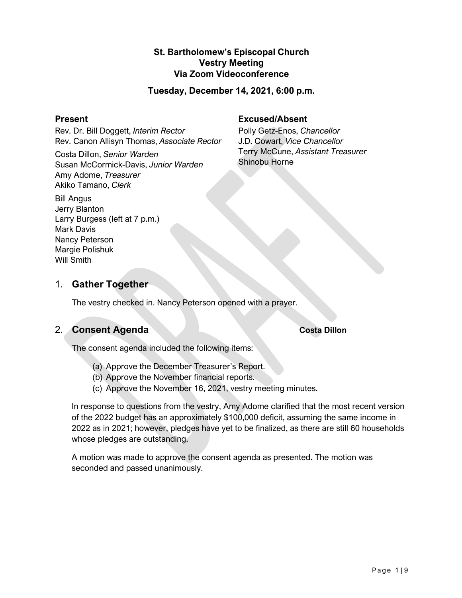# **St. Bartholomew's Episcopal Church Vestry Meeting Via Zoom Videoconference**

### **Tuesday, December 14, 2021, 6:00 p.m.**

#### **Present**

Rev. Dr. Bill Doggett, *Interim Rector* Rev. Canon Allisyn Thomas, *Associate Rector*

Costa Dillon, *Senior Warden* Susan McCormick-Davis, *Junior Warden* Amy Adome, *Treasurer* Akiko Tamano, *Clerk*

# **Excused/Absent**

Polly Getz-Enos, *Chancellor* J.D. Cowart, *Vice Chancellor* Terry McCune, *Assistant Treasurer* Shinobu Horne

Bill Angus Jerry Blanton Larry Burgess (left at 7 p.m.) Mark Davis Nancy Peterson Margie Polishuk Will Smith

# 1. **Gather Together**

The vestry checked in. Nancy Peterson opened with a prayer.

# 2. **Consent Agenda Costa Dillon**

The consent agenda included the following items:

- (a) Approve the December Treasurer's Report.
- (b) Approve the November financial reports.
- (c) Approve the November 16, 2021, vestry meeting minutes.

In response to questions from the vestry, Amy Adome clarified that the most recent version of the 2022 budget has an approximately \$100,000 deficit, assuming the same income in 2022 as in 2021; however, pledges have yet to be finalized, as there are still 60 households whose pledges are outstanding.

A motion was made to approve the consent agenda as presented. The motion was seconded and passed unanimously.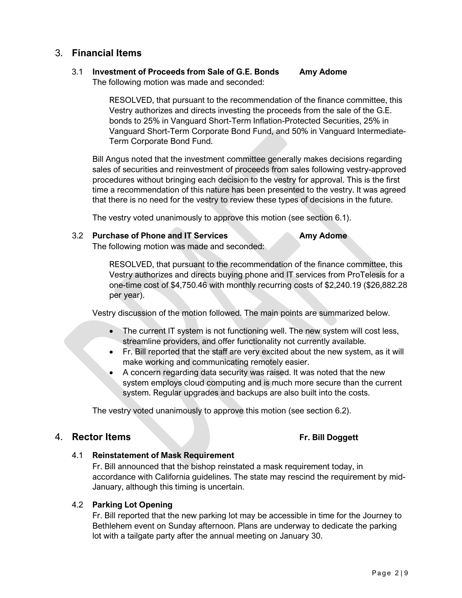# 3. **Financial Items**

#### 3.1 **Investment of Proceeds from Sale of G.E. Bonds Amy Adome** The following motion was made and seconded:

RESOLVED, that pursuant to the recommendation of the finance committee, this Vestry authorizes and directs investing the proceeds from the sale of the G.E. bonds to 25% in Vanguard Short-Term Inflation-Protected Securities, 25% in Vanguard Short-Term Corporate Bond Fund, and 50% in Vanguard Intermediate-Term Corporate Bond Fund.

Bill Angus noted that the investment committee generally makes decisions regarding sales of securities and reinvestment of proceeds from sales following vestry-approved procedures without bringing each decision to the vestry for approval. This is the first time a recommendation of this nature has been presented to the vestry. It was agreed that there is no need for the vestry to review these types of decisions in the future.

The vestry voted unanimously to approve this motion (see section 6.1).

#### 3.2 **Purchase of Phone and IT Services Amy Adome**

The following motion was made and seconded:

RESOLVED, that pursuant to the recommendation of the finance committee, this Vestry authorizes and directs buying phone and IT services from ProTelesis for a one-time cost of \$4,750.46 with monthly recurring costs of \$2,240.19 (\$26,882.28 per year).

Vestry discussion of the motion followed. The main points are summarized below.

- The current IT system is not functioning well. The new system will cost less, streamline providers, and offer functionality not currently available.
- Fr. Bill reported that the staff are very excited about the new system, as it will make working and communicating remotely easier.
- A concern regarding data security was raised. It was noted that the new system employs cloud computing and is much more secure than the current system. Regular upgrades and backups are also built into the costs.

The vestry voted unanimously to approve this motion (see section 6.2).

# 4. **Rector Items Fr. Bill Doggett**

#### 4.1 **Reinstatement of Mask Requirement**

Fr. Bill announced that the bishop reinstated a mask requirement today, in accordance with California guidelines. The state may rescind the requirement by mid-January, although this timing is uncertain.

### 4.2 **Parking Lot Opening**

Fr. Bill reported that the new parking lot may be accessible in time for the Journey to Bethlehem event on Sunday afternoon. Plans are underway to dedicate the parking lot with a tailgate party after the annual meeting on January 30.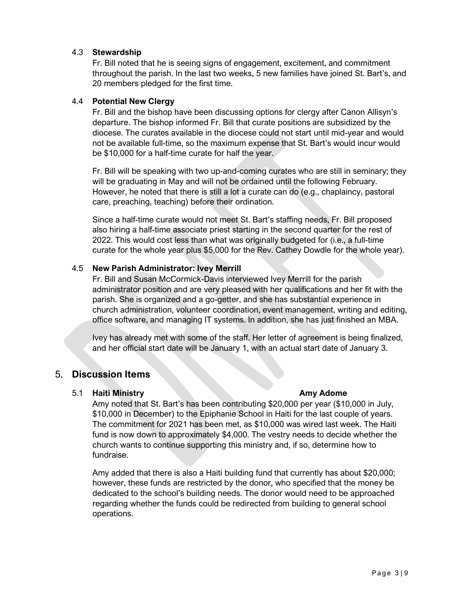### 4.3 **Stewardship**

Fr. Bill noted that he is seeing signs of engagement, excitement, and commitment throughout the parish. In the last two weeks, 5 new families have joined St. Bart's, and 20 members pledged for the first time.

### 4.4 **Potential New Clergy**

Fr. Bill and the bishop have been discussing options for clergy after Canon Allisyn's departure. The bishop informed Fr. Bill that curate positions are subsidized by the diocese. The curates available in the diocese could not start until mid-year and would not be available full-time, so the maximum expense that St. Bart's would incur would be \$10,000 for a half-time curate for half the year.

Fr. Bill will be speaking with two up-and-coming curates who are still in seminary; they will be graduating in May and will not be ordained until the following February. However, he noted that there is still a lot a curate can do (e.g., chaplaincy, pastoral care, preaching, teaching) before their ordination.

Since a half-time curate would not meet St. Bart's staffing needs, Fr. Bill proposed also hiring a half-time associate priest starting in the second quarter for the rest of 2022. This would cost less than what was originally budgeted for (i.e., a full-time curate for the whole year plus \$5,000 for the Rev. Cathey Dowdle for the whole year).

### 4.5 **New Parish Administrator: Ivey Merrill**

Fr. Bill and Susan McCormick-Davis interviewed Ivey Merrill for the parish administrator position and are very pleased with her qualifications and her fit with the parish. She is organized and a go-getter, and she has substantial experience in church administration, volunteer coordination, event management, writing and editing, office software, and managing IT systems. In addition, she has just finished an MBA.

Ivey has already met with some of the staff. Her letter of agreement is being finalized, and her official start date will be January 1, with an actual start date of January 3.

# 5. **Discussion Items**

### 5.1 **Haiti Ministry Amy Adome**

Amy noted that St. Bart's has been contributing \$20,000 per year (\$10,000 in July, \$10,000 in December) to the Epiphanie School in Haiti for the last couple of years. The commitment for 2021 has been met, as \$10,000 was wired last week. The Haiti fund is now down to approximately \$4,000. The vestry needs to decide whether the church wants to continue supporting this ministry and, if so, determine how to fundraise.

Amy added that there is also a Haiti building fund that currently has about \$20,000; however, these funds are restricted by the donor, who specified that the money be dedicated to the school's building needs. The donor would need to be approached regarding whether the funds could be redirected from building to general school operations.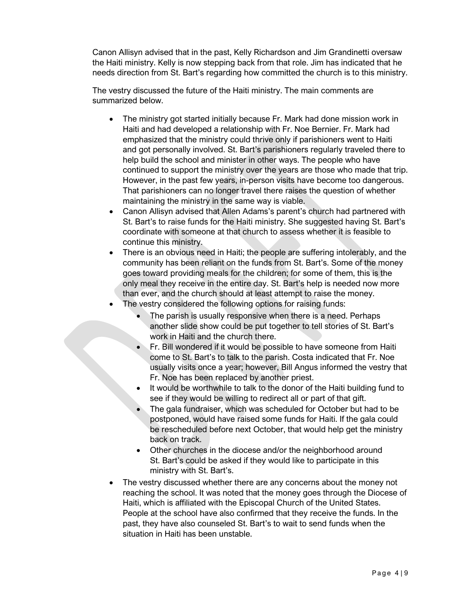Canon Allisyn advised that in the past, Kelly Richardson and Jim Grandinetti oversaw the Haiti ministry. Kelly is now stepping back from that role. Jim has indicated that he needs direction from St. Bart's regarding how committed the church is to this ministry.

The vestry discussed the future of the Haiti ministry. The main comments are summarized below.

- The ministry got started initially because Fr. Mark had done mission work in Haiti and had developed a relationship with Fr. Noe Bernier. Fr. Mark had emphasized that the ministry could thrive only if parishioners went to Haiti and got personally involved. St. Bart's parishioners regularly traveled there to help build the school and minister in other ways. The people who have continued to support the ministry over the years are those who made that trip. However, in the past few years, in-person visits have become too dangerous. That parishioners can no longer travel there raises the question of whether maintaining the ministry in the same way is viable.
- Canon Allisyn advised that Allen Adams's parent's church had partnered with St. Bart's to raise funds for the Haiti ministry. She suggested having St. Bart's coordinate with someone at that church to assess whether it is feasible to continue this ministry.
- There is an obvious need in Haiti; the people are suffering intolerably, and the community has been reliant on the funds from St. Bart's. Some of the money goes toward providing meals for the children; for some of them, this is the only meal they receive in the entire day. St. Bart's help is needed now more than ever, and the church should at least attempt to raise the money.
- The vestry considered the following options for raising funds:
	- The parish is usually responsive when there is a need. Perhaps another slide show could be put together to tell stories of St. Bart's work in Haiti and the church there.
	- Fr. Bill wondered if it would be possible to have someone from Haiti come to St. Bart's to talk to the parish. Costa indicated that Fr. Noe usually visits once a year; however, Bill Angus informed the vestry that Fr. Noe has been replaced by another priest.
	- It would be worthwhile to talk to the donor of the Haiti building fund to see if they would be willing to redirect all or part of that gift.
	- The gala fundraiser, which was scheduled for October but had to be postponed, would have raised some funds for Haiti. If the gala could be rescheduled before next October, that would help get the ministry back on track.
	- Other churches in the diocese and/or the neighborhood around St. Bart's could be asked if they would like to participate in this ministry with St. Bart's.
- The vestry discussed whether there are any concerns about the money not reaching the school. It was noted that the money goes through the Diocese of Haiti, which is affiliated with the Episcopal Church of the United States. People at the school have also confirmed that they receive the funds. In the past, they have also counseled St. Bart's to wait to send funds when the situation in Haiti has been unstable.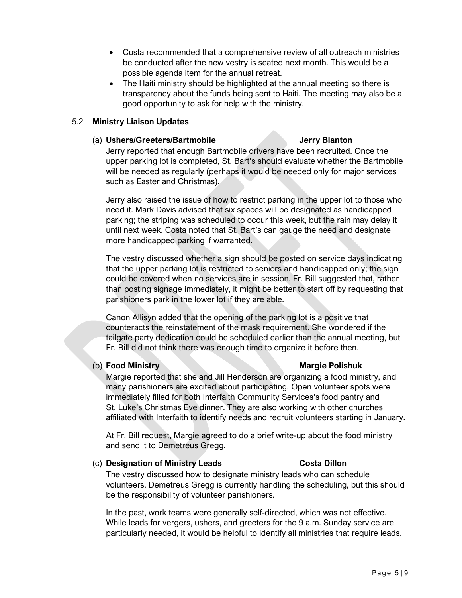- Costa recommended that a comprehensive review of all outreach ministries be conducted after the new vestry is seated next month. This would be a possible agenda item for the annual retreat.
- The Haiti ministry should be highlighted at the annual meeting so there is transparency about the funds being sent to Haiti. The meeting may also be a good opportunity to ask for help with the ministry.

### 5.2 **Ministry Liaison Updates**

#### (a) **Ushers/Greeters/Bartmobile Jerry Blanton**

Jerry reported that enough Bartmobile drivers have been recruited. Once the upper parking lot is completed, St. Bart's should evaluate whether the Bartmobile will be needed as regularly (perhaps it would be needed only for major services such as Easter and Christmas).

Jerry also raised the issue of how to restrict parking in the upper lot to those who need it. Mark Davis advised that six spaces will be designated as handicapped parking; the striping was scheduled to occur this week, but the rain may delay it until next week. Costa noted that St. Bart's can gauge the need and designate more handicapped parking if warranted.

The vestry discussed whether a sign should be posted on service days indicating that the upper parking lot is restricted to seniors and handicapped only; the sign could be covered when no services are in session. Fr. Bill suggested that, rather than posting signage immediately, it might be better to start off by requesting that parishioners park in the lower lot if they are able.

Canon Allisyn added that the opening of the parking lot is a positive that counteracts the reinstatement of the mask requirement. She wondered if the tailgate party dedication could be scheduled earlier than the annual meeting, but Fr. Bill did not think there was enough time to organize it before then.

# (b) **Food Ministry Margie Polishuk**

Margie reported that she and Jill Henderson are organizing a food ministry, and many parishioners are excited about participating. Open volunteer spots were immediately filled for both Interfaith Community Services's food pantry and St. Luke's Christmas Eve dinner. They are also working with other churches affiliated with Interfaith to identify needs and recruit volunteers starting in January.

At Fr. Bill request, Margie agreed to do a brief write-up about the food ministry and send it to Demetreus Gregg.

### (c) **Designation of Ministry Leads Costa Dillon**

The vestry discussed how to designate ministry leads who can schedule volunteers. Demetreus Gregg is currently handling the scheduling, but this should be the responsibility of volunteer parishioners.

In the past, work teams were generally self-directed, which was not effective. While leads for vergers, ushers, and greeters for the 9 a.m. Sunday service are particularly needed, it would be helpful to identify all ministries that require leads.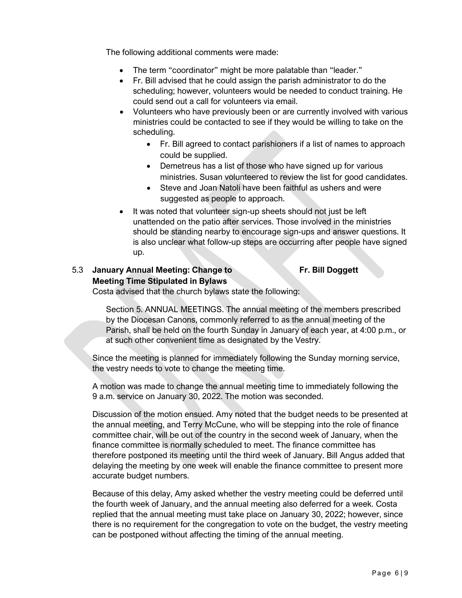The following additional comments were made:

- The term "coordinator" might be more palatable than "leader."
- Fr. Bill advised that he could assign the parish administrator to do the scheduling; however, volunteers would be needed to conduct training. He could send out a call for volunteers via email.
- Volunteers who have previously been or are currently involved with various ministries could be contacted to see if they would be willing to take on the scheduling.
	- Fr. Bill agreed to contact parishioners if a list of names to approach could be supplied.
	- Demetreus has a list of those who have signed up for various ministries. Susan volunteered to review the list for good candidates.
	- Steve and Joan Natoli have been faithful as ushers and were suggested as people to approach.
- It was noted that volunteer sign-up sheets should not just be left unattended on the patio after services. Those involved in the ministries should be standing nearby to encourage sign-ups and answer questions. It is also unclear what follow-up steps are occurring after people have signed up.

# 5.3 **January Annual Meeting: Change to Fr. Bill Doggett Meeting Time Stipulated in Bylaws**

Costa advised that the church bylaws state the following:

Section 5. ANNUAL MEETINGS. The annual meeting of the members prescribed by the Diocesan Canons, commonly referred to as the annual meeting of the Parish, shall be held on the fourth Sunday in January of each year, at 4:00 p.m., or at such other convenient time as designated by the Vestry.

Since the meeting is planned for immediately following the Sunday morning service, the vestry needs to vote to change the meeting time.

A motion was made to change the annual meeting time to immediately following the 9 a.m. service on January 30, 2022. The motion was seconded.

Discussion of the motion ensued. Amy noted that the budget needs to be presented at the annual meeting, and Terry McCune, who will be stepping into the role of finance committee chair, will be out of the country in the second week of January, when the finance committee is normally scheduled to meet. The finance committee has therefore postponed its meeting until the third week of January. Bill Angus added that delaying the meeting by one week will enable the finance committee to present more accurate budget numbers.

Because of this delay, Amy asked whether the vestry meeting could be deferred until the fourth week of January, and the annual meeting also deferred for a week. Costa replied that the annual meeting must take place on January 30, 2022; however, since there is no requirement for the congregation to vote on the budget, the vestry meeting can be postponed without affecting the timing of the annual meeting.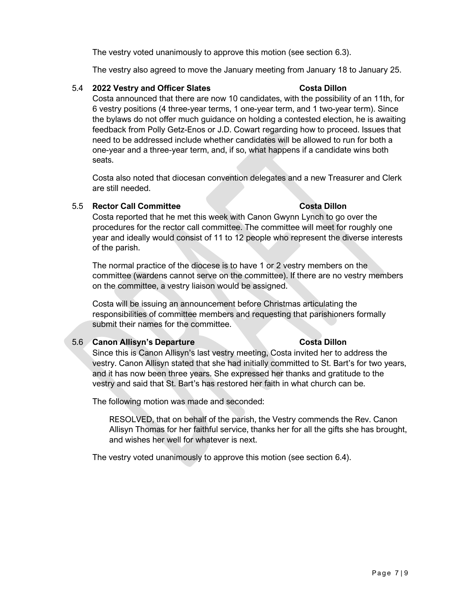The vestry voted unanimously to approve this motion (see section 6.3).

The vestry also agreed to move the January meeting from January 18 to January 25.

# 5.4 **2022 Vestry and Officer Slates Costa Dillon**

Costa announced that there are now 10 candidates, with the possibility of an 11th, for 6 vestry positions (4 three-year terms, 1 one-year term, and 1 two-year term). Since the bylaws do not offer much guidance on holding a contested election, he is awaiting feedback from Polly Getz-Enos or J.D. Cowart regarding how to proceed. Issues that need to be addressed include whether candidates will be allowed to run for both a one-year and a three-year term, and, if so, what happens if a candidate wins both seats.

Costa also noted that diocesan convention delegates and a new Treasurer and Clerk are still needed.

# 5.5 **Rector Call Committee Costa Dillon**

Costa reported that he met this week with Canon Gwynn Lynch to go over the procedures for the rector call committee. The committee will meet for roughly one year and ideally would consist of 11 to 12 people who represent the diverse interests of the parish.

The normal practice of the diocese is to have 1 or 2 vestry members on the committee (wardens cannot serve on the committee). If there are no vestry members on the committee, a vestry liaison would be assigned.

Costa will be issuing an announcement before Christmas articulating the responsibilities of committee members and requesting that parishioners formally submit their names for the committee.

# 5.6 **Canon Allisyn's Departure Costa Dillon**

Since this is Canon Allisyn's last vestry meeting, Costa invited her to address the vestry. Canon Allisyn stated that she had initially committed to St. Bart's for two years, and it has now been three years. She expressed her thanks and gratitude to the vestry and said that St. Bart's has restored her faith in what church can be.

The following motion was made and seconded:

RESOLVED, that on behalf of the parish, the Vestry commends the Rev. Canon Allisyn Thomas for her faithful service, thanks her for all the gifts she has brought, and wishes her well for whatever is next.

The vestry voted unanimously to approve this motion (see section 6.4).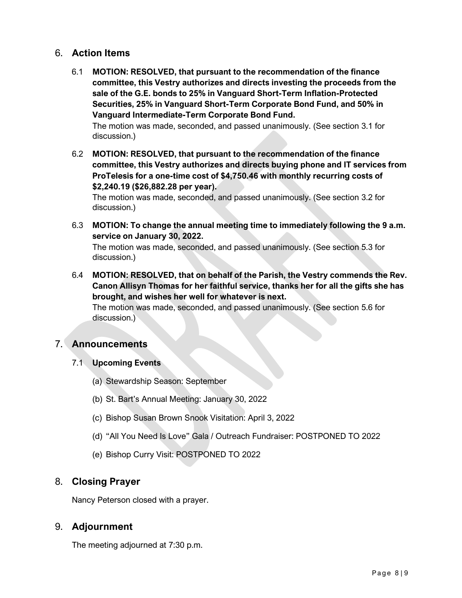# 6. **Action Items**

6.1 **MOTION: RESOLVED, that pursuant to the recommendation of the finance committee, this Vestry authorizes and directs investing the proceeds from the sale of the G.E. bonds to 25% in Vanguard Short-Term Inflation-Protected Securities, 25% in Vanguard Short-Term Corporate Bond Fund, and 50% in Vanguard Intermediate-Term Corporate Bond Fund.**

The motion was made, seconded, and passed unanimously. (See section 3.1 for discussion.)

6.2 **MOTION: RESOLVED, that pursuant to the recommendation of the finance committee, this Vestry authorizes and directs buying phone and IT services from ProTelesis for a one-time cost of \$4,750.46 with monthly recurring costs of \$2,240.19 (\$26,882.28 per year).**

The motion was made, seconded, and passed unanimously. (See section 3.2 for discussion.)

6.3 **MOTION: To change the annual meeting time to immediately following the 9 a.m. service on January 30, 2022.**

The motion was made, seconded, and passed unanimously. (See section 5.3 for discussion.)

6.4 **MOTION: RESOLVED, that on behalf of the Parish, the Vestry commends the Rev. Canon Allisyn Thomas for her faithful service, thanks her for all the gifts she has brought, and wishes her well for whatever is next.**

The motion was made, seconded, and passed unanimously. (See section 5.6 for discussion.)

# 7. **Announcements**

- 7.1 **Upcoming Events**
	- (a) Stewardship Season: September
	- (b) St. Bart's Annual Meeting: January 30, 2022
	- (c) Bishop Susan Brown Snook Visitation: April 3, 2022
	- (d) "All You Need Is Love" Gala / Outreach Fundraiser: POSTPONED TO 2022
	- (e) Bishop Curry Visit: POSTPONED TO 2022

# 8. **Closing Prayer**

Nancy Peterson closed with a prayer.

# 9. **Adjournment**

The meeting adjourned at 7:30 p.m.